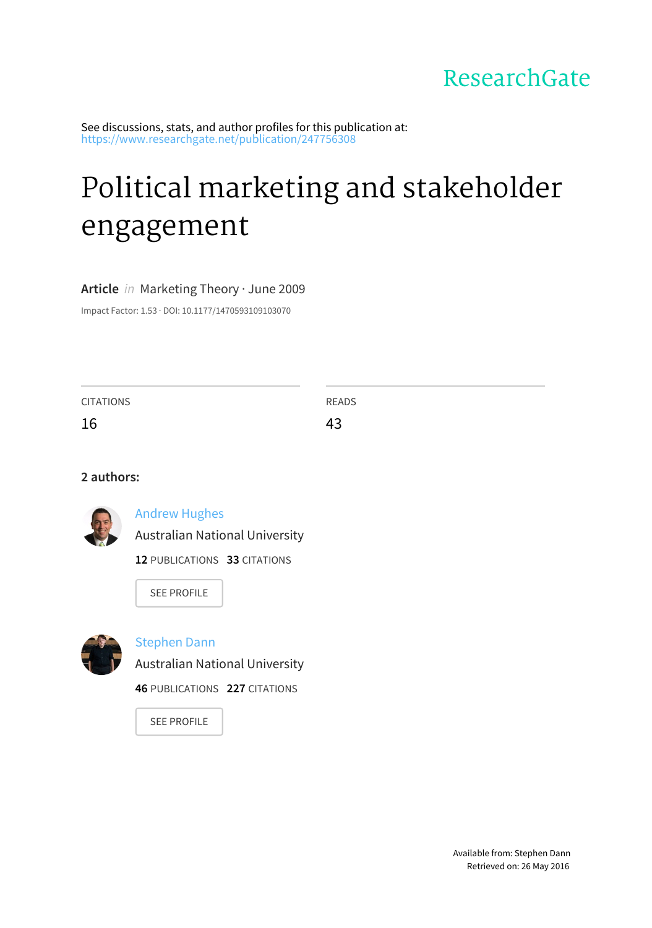# ResearchGate

See discussions, stats, and author profiles for this publication at: [https://www.researchgate.net/publication/247756308](https://www.researchgate.net/publication/247756308_Political_marketing_and_stakeholder_engagement?enrichId=rgreq-f6896c92-9483-407a-8ce9-d5f4bdd39e1d&enrichSource=Y292ZXJQYWdlOzI0Nzc1NjMwODtBUzoyOTQwMDcxMTM1NjgyNTZAMTQ0NzEwODE2NjAzOA%3D%3D&el=1_x_2)

# Political marketing and stakeholder [engagement](https://www.researchgate.net/publication/247756308_Political_marketing_and_stakeholder_engagement?enrichId=rgreq-f6896c92-9483-407a-8ce9-d5f4bdd39e1d&enrichSource=Y292ZXJQYWdlOzI0Nzc1NjMwODtBUzoyOTQwMDcxMTM1NjgyNTZAMTQ0NzEwODE2NjAzOA%3D%3D&el=1_x_3)

**Article** in Marketing Theory · June 2009

Impact Factor: 1.53 · DOI: 10.1177/1470593109103070

**CITATIONS** 

READS

16

43

#### **2 authors:**



#### [Andrew](https://www.researchgate.net/profile/Andrew_Hughes8?enrichId=rgreq-f6896c92-9483-407a-8ce9-d5f4bdd39e1d&enrichSource=Y292ZXJQYWdlOzI0Nzc1NjMwODtBUzoyOTQwMDcxMTM1NjgyNTZAMTQ0NzEwODE2NjAzOA%3D%3D&el=1_x_5) Hughes

[Australian](https://www.researchgate.net/institution/Australian_National_University?enrichId=rgreq-f6896c92-9483-407a-8ce9-d5f4bdd39e1d&enrichSource=Y292ZXJQYWdlOzI0Nzc1NjMwODtBUzoyOTQwMDcxMTM1NjgyNTZAMTQ0NzEwODE2NjAzOA%3D%3D&el=1_x_6) National University

**12** PUBLICATIONS **33** CITATIONS

SEE [PROFILE](https://www.researchgate.net/profile/Andrew_Hughes8?enrichId=rgreq-f6896c92-9483-407a-8ce9-d5f4bdd39e1d&enrichSource=Y292ZXJQYWdlOzI0Nzc1NjMwODtBUzoyOTQwMDcxMTM1NjgyNTZAMTQ0NzEwODE2NjAzOA%3D%3D&el=1_x_7)



[Stephen](https://www.researchgate.net/profile/Stephen_Dann?enrichId=rgreq-f6896c92-9483-407a-8ce9-d5f4bdd39e1d&enrichSource=Y292ZXJQYWdlOzI0Nzc1NjMwODtBUzoyOTQwMDcxMTM1NjgyNTZAMTQ0NzEwODE2NjAzOA%3D%3D&el=1_x_5) Dann [Australian](https://www.researchgate.net/institution/Australian_National_University?enrichId=rgreq-f6896c92-9483-407a-8ce9-d5f4bdd39e1d&enrichSource=Y292ZXJQYWdlOzI0Nzc1NjMwODtBUzoyOTQwMDcxMTM1NjgyNTZAMTQ0NzEwODE2NjAzOA%3D%3D&el=1_x_6) National University

**46** PUBLICATIONS **227** CITATIONS

SEE [PROFILE](https://www.researchgate.net/profile/Stephen_Dann?enrichId=rgreq-f6896c92-9483-407a-8ce9-d5f4bdd39e1d&enrichSource=Y292ZXJQYWdlOzI0Nzc1NjMwODtBUzoyOTQwMDcxMTM1NjgyNTZAMTQ0NzEwODE2NjAzOA%3D%3D&el=1_x_7)

Available from: Stephen Dann Retrieved on: 26 May 2016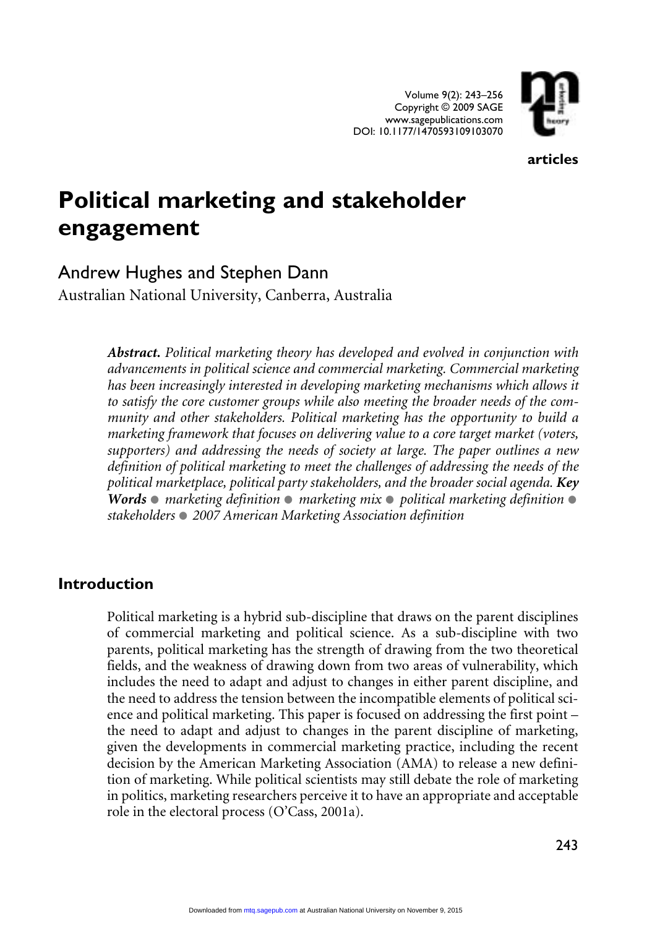

**articles**

# **Political marketing and stakeholder engagement**

Andrew Hughes and Stephen Dann

Australian National University, Canberra, Australia

*Abstract. Political marketing theory has developed and evolved in conjunction with advancements in political science and commercial marketing. Commercial marketing has been increasingly interested in developing marketing mechanisms which allows it to satisfy the core customer groups while also meeting the broader needs of the community and other stakeholders. Political marketing has the opportunity to build a marketing framework that focuses on delivering value to a core target market (voters, supporters) and addressing the needs of society at large. The paper outlines a new definition of political marketing to meet the challenges of addressing the needs of the political marketplace, political party stakeholders, and the broader social agenda. Key Words* • *marketing definition* • *marketing mix* • *political marketing definition* • *stakeholders* • *2007 American Marketing Association definition*

# **Introduction**

Political marketing is a hybrid sub-discipline that draws on the parent disciplines of commercial marketing and political science. As a sub-discipline with two parents, political marketing has the strength of drawing from the two theoretical fields, and the weakness of drawing down from two areas of vulnerability, which includes the need to adapt and adjust to changes in either parent discipline, and the need to address the tension between the incompatible elements of political science and political marketing. This paper is focused on addressing the first point – the need to adapt and adjust to changes in the parent discipline of marketing, given the developments in commercial marketing practice, including the recent decision by the American Marketing Association (AMA) to release a new definition of marketing. While political scientists may still debate the role of marketing in politics, marketing researchers perceive it to have an appropriate and acceptable role in the electoral process (O'Cass, 2001a).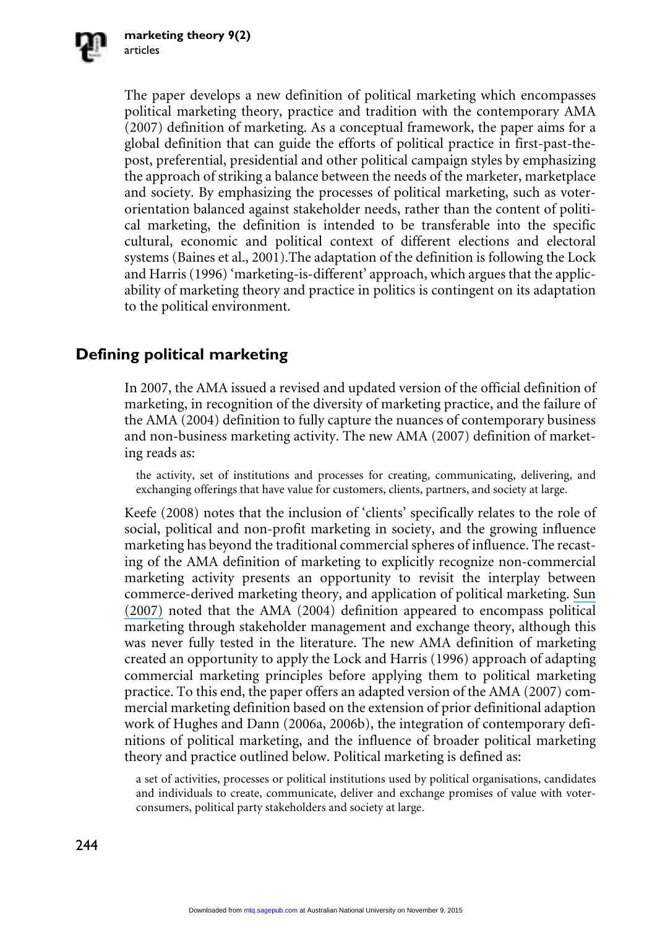

The paper develops a new definition of political marketing which encompasses political marketing theory, practice and tradition with the contemporary AMA (2007) definition of marketing. As a conceptual framework, the paper aims for a global definition that can guide the efforts of political practice in first-past-thepost, preferential, presidential and other political campaign styles by emphasizing the approach of striking a balance between the needs of the marketer, marketplace and society. By emphasizing the processes of political marketing, such as voterorientation balanced against stakeholder needs, rather than the content of political marketing, the definition is intended to be transferable into the specific cultural, economic and political context of different elections and electoral systems (Baines et al., 2001).The adaptation of the definition is following the Lock and Harris (1996) 'marketing-is-different' approach, which argues that the applicability of marketing theory and practice in politics is contingent on its adaptation to the political environment.

# **Defining political marketing**

In 2007, the AMA issued a revised and updated version of the official definition of marketing, in recognition of the diversity of marketing practice, and the failure of the AMA (2004) definition to fully capture the nuances of contemporary business and non-business marketing activity. The new AMA (2007) definition of marketing reads as:

the activity, set of institutions and processes for creating, communicating, delivering, and exchanging offerings that have value for customers, clients, partners, and society at large.

Keefe (2008) notes that the inclusion of 'clients' specifically relates to the role of social, political and non-profit marketing in society, and the growing influence marketing has beyond the traditional commercial spheres of influence. The recasting of the AMA definition of marketing to explicitly recognize non-commercial marketing activity presents an opportunity to revisit the interplay between commerce-derived marketing theory, and application of political marketing. [Sun](https://www.researchgate.net/publication/229920805_International_political_Marketing_a_case_study_of_its_application_in_China?el=1_x_8&enrichId=rgreq-f6896c92-9483-407a-8ce9-d5f4bdd39e1d&enrichSource=Y292ZXJQYWdlOzI0Nzc1NjMwODtBUzoyOTQwMDcxMTM1NjgyNTZAMTQ0NzEwODE2NjAzOA==) [\(2007\)](https://www.researchgate.net/publication/229920805_International_political_Marketing_a_case_study_of_its_application_in_China?el=1_x_8&enrichId=rgreq-f6896c92-9483-407a-8ce9-d5f4bdd39e1d&enrichSource=Y292ZXJQYWdlOzI0Nzc1NjMwODtBUzoyOTQwMDcxMTM1NjgyNTZAMTQ0NzEwODE2NjAzOA==) noted that the AMA (2004) definition appeared to encompass political marketing through stakeholder management and exchange theory, although this was never fully tested in the literature. The new AMA definition of marketing created an opportunity to apply the Lock and Harris (1996) approach of adapting commercial marketing principles before applying them to political marketing practice. To this end, the paper offers an adapted version of the AMA (2007) commercial marketing definition based on the extension of prior definitional adaption work of Hughes and Dann (2006a, 2006b), the integration of contemporary definitions of political marketing, and the influence of broader political marketing theory and practice outlined below. Political marketing is defined as:

a set of activities, processes or political institutions used by political organisations, candidates and individuals to create, communicate, deliver and exchange promises of value with voterconsumers, political party stakeholders and society at large.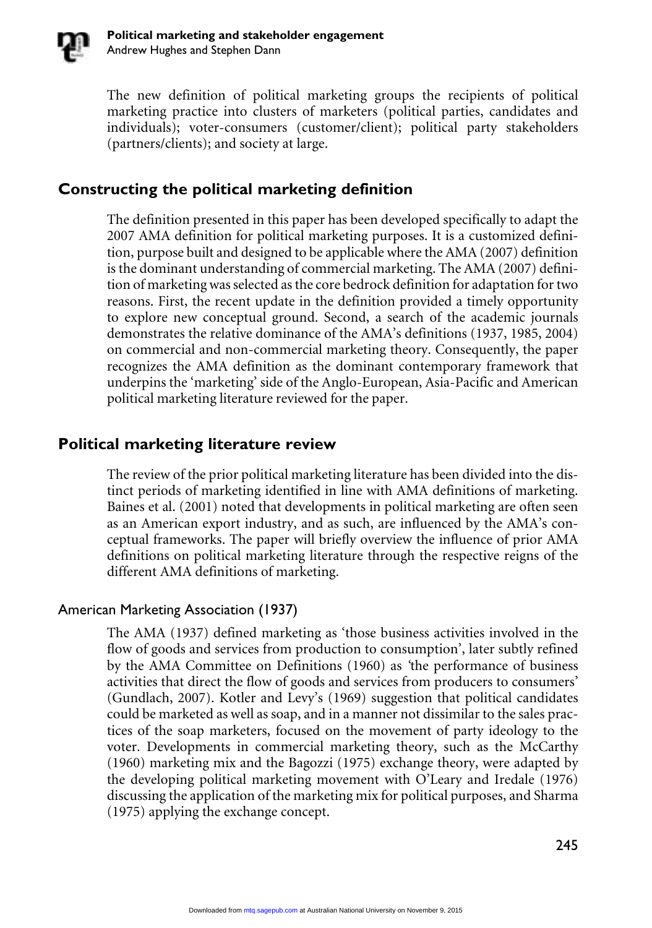

The new definition of political marketing groups the recipients of political marketing practice into clusters of marketers (political parties, candidates and individuals); voter-consumers (customer/client); political party stakeholders (partners/clients); and society at large.

# **Constructing the political marketing definition**

The definition presented in this paper has been developed specifically to adapt the 2007 AMA definition for political marketing purposes. It is a customized definition, purpose built and designed to be applicable where the AMA (2007) definition is the dominant understanding of commercial marketing. The AMA (2007) definition of marketing was selected as the core bedrock definition for adaptation for two reasons. First, the recent update in the definition provided a timely opportunity to explore new conceptual ground. Second, a search of the academic journals demonstrates the relative dominance of the AMA's definitions (1937, 1985, 2004) on commercial and non-commercial marketing theory. Consequently, the paper recognizes the AMA definition as the dominant contemporary framework that underpins the 'marketing' side of the Anglo-European, Asia-Pacific and American political marketing literature reviewed for the paper.

# **Political marketing literature review**

The review of the prior political marketing literature has been divided into the distinct periods of marketing identified in line with AMA definitions of marketing. Baines et al. (2001) noted that developments in political marketing are often seen as an American export industry, and as such, are influenced by the AMA's conceptual frameworks. The paper will briefly overview the influence of prior AMA definitions on political marketing literature through the respective reigns of the different AMA definitions of marketing.

### American Marketing Association (1937)

The AMA (1937) defined marketing as 'those business activities involved in the flow of goods and services from production to consumption', later subtly refined by the AMA Committee on Definitions (1960) as *'*the performance of business activities that direct the flow of goods and services from producers to consumers' (Gundlach, 2007). Kotler and Levy's (1969) suggestion that political candidates could be marketed as well as soap, and in a manner not dissimilar to the sales practices of the soap marketers, focused on the movement of party ideology to the voter. Developments in commercial marketing theory, such as the McCarthy (1960) marketing mix and the Bagozzi (1975) exchange theory, were adapted by the developing political marketing movement with O'Leary and Iredale (1976) discussing the application of the marketing mix for political purposes, and Sharma (1975) applying the exchange concept.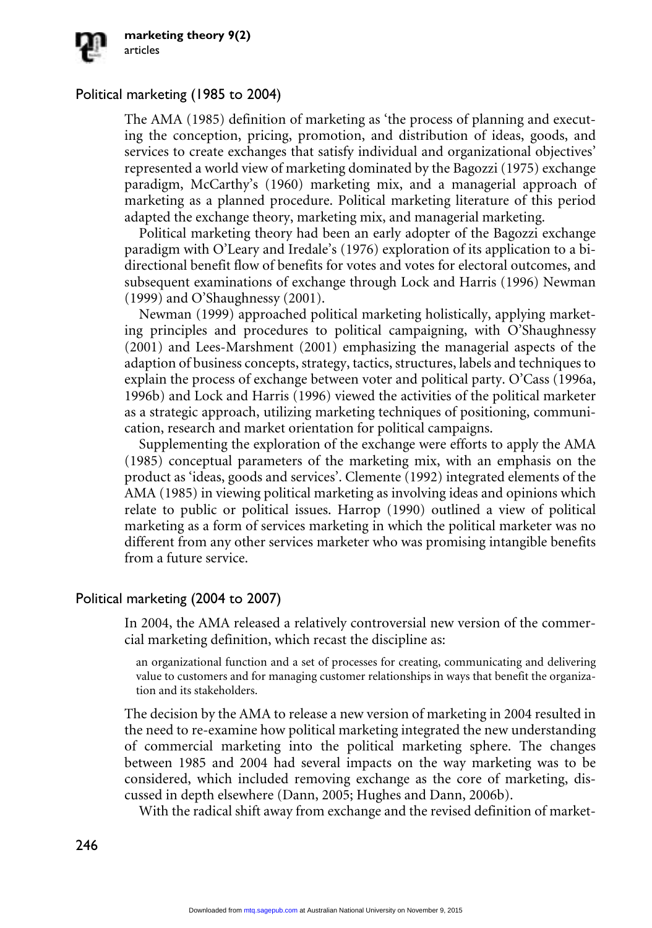

#### Political marketing (1985 to 2004)

The AMA (1985) definition of marketing as 'the process of planning and executing the conception, pricing, promotion, and distribution of ideas, goods, and services to create exchanges that satisfy individual and organizational objectives' represented a world view of marketing dominated by the Bagozzi (1975) exchange paradigm, McCarthy's (1960) marketing mix, and a managerial approach of marketing as a planned procedure. Political marketing literature of this period adapted the exchange theory, marketing mix, and managerial marketing.

Political marketing theory had been an early adopter of the Bagozzi exchange paradigm with O'Leary and Iredale's (1976) exploration of its application to a bidirectional benefit flow of benefits for votes and votes for electoral outcomes, and subsequent examinations of exchange through Lock and Harris (1996) Newman (1999) and O'Shaughnessy (2001).

Newman (1999) approached political marketing holistically, applying marketing principles and procedures to political campaigning, with O'Shaughnessy (2001) and Lees-Marshment (2001) emphasizing the managerial aspects of the adaption of business concepts, strategy, tactics, structures, labels and techniques to explain the process of exchange between voter and political party. O'Cass (1996a, 1996b) and Lock and Harris (1996) viewed the activities of the political marketer as a strategic approach, utilizing marketing techniques of positioning, communication, research and market orientation for political campaigns.

Supplementing the exploration of the exchange were efforts to apply the AMA (1985) conceptual parameters of the marketing mix, with an emphasis on the product as 'ideas, goods and services'. Clemente (1992) integrated elements of the AMA (1985) in viewing political marketing as involving ideas and opinions which relate to public or political issues. Harrop (1990) outlined a view of political marketing as a form of services marketing in which the political marketer was no different from any other services marketer who was promising intangible benefits from a future service.

#### Political marketing (2004 to 2007)

In 2004, the AMA released a relatively controversial new version of the commercial marketing definition, which recast the discipline as:

an organizational function and a set of processes for creating, communicating and delivering value to customers and for managing customer relationships in ways that benefit the organization and its stakeholders.

The decision by the AMA to release a new version of marketing in 2004 resulted in the need to re-examine how political marketing integrated the new understanding of commercial marketing into the political marketing sphere. The changes between 1985 and 2004 had several impacts on the way marketing was to be considered, which included removing exchange as the core of marketing, discussed in depth elsewhere (Dann, 2005; Hughes and Dann, 2006b).

With the radical shift away from exchange and the revised definition of market-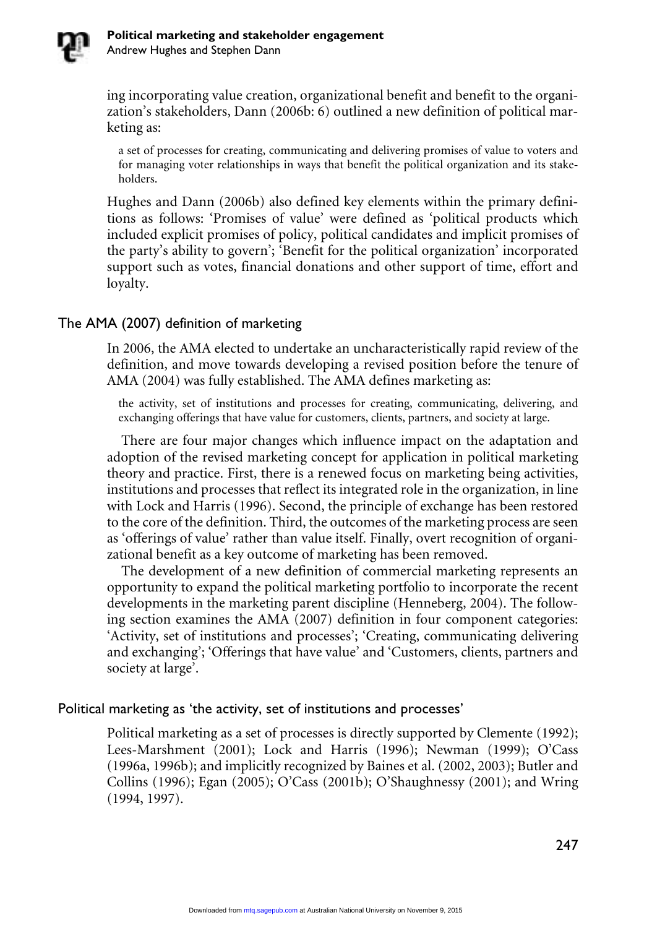

ing incorporating value creation, organizational benefit and benefit to the organization's stakeholders, Dann (2006b: 6) outlined a new definition of political marketing as:

a set of processes for creating, communicating and delivering promises of value to voters and for managing voter relationships in ways that benefit the political organization and its stakeholders.

Hughes and Dann (2006b) also defined key elements within the primary definitions as follows: 'Promises of value' were defined as 'political products which included explicit promises of policy, political candidates and implicit promises of the party's ability to govern'; 'Benefit for the political organization' incorporated support such as votes, financial donations and other support of time, effort and loyalty.

#### The AMA (2007) definition of marketing

In 2006, the AMA elected to undertake an uncharacteristically rapid review of the definition, and move towards developing a revised position before the tenure of AMA (2004) was fully established. The AMA defines marketing as:

the activity, set of institutions and processes for creating, communicating, delivering, and exchanging offerings that have value for customers, clients, partners, and society at large.

There are four major changes which influence impact on the adaptation and adoption of the revised marketing concept for application in political marketing theory and practice. First, there is a renewed focus on marketing being activities, institutions and processes that reflect its integrated role in the organization, in line with Lock and Harris (1996). Second, the principle of exchange has been restored to the core of the definition. Third, the outcomes of the marketing process are seen as 'offerings of value' rather than value itself. Finally, overt recognition of organizational benefit as a key outcome of marketing has been removed.

The development of a new definition of commercial marketing represents an opportunity to expand the political marketing portfolio to incorporate the recent developments in the marketing parent discipline (Henneberg, 2004). The following section examines the AMA (2007) definition in four component categories: 'Activity, set of institutions and processes'; 'Creating, communicating delivering and exchanging'; 'Offerings that have value' and 'Customers, clients, partners and society at large'.

#### Political marketing as 'the activity, set of institutions and processes'

Political marketing as a set of processes is directly supported by Clemente (1992); Lees-Marshment (2001); Lock and Harris (1996); Newman (1999); O'Cass (1996a, 1996b); and implicitly recognized by Baines et al. (2002, 2003); Butler and Collins (1996); Egan (2005); O'Cass (2001b); O'Shaughnessy (2001); and Wring (1994, 1997).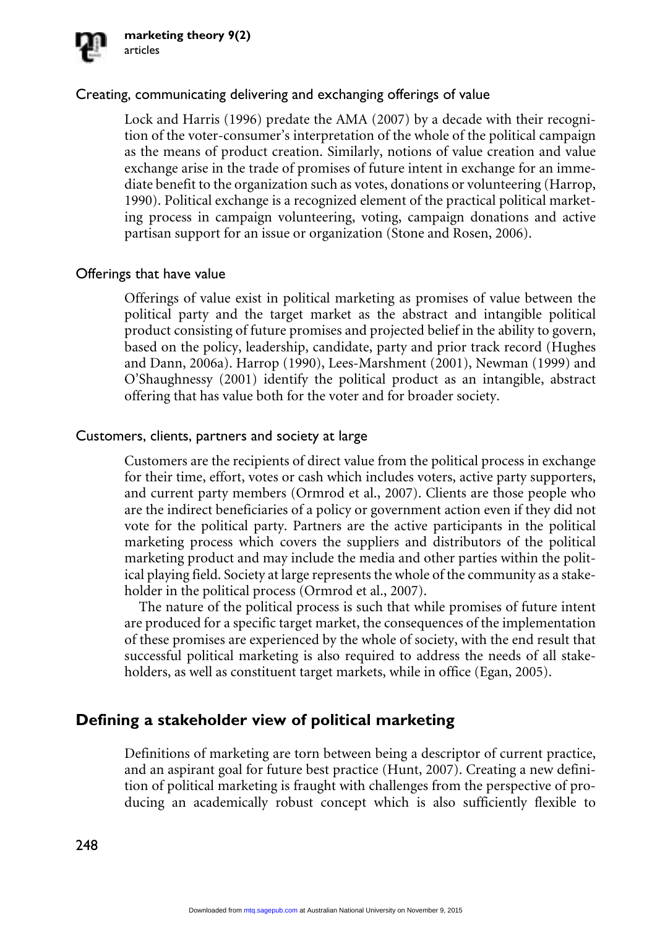

#### Creating, communicating delivering and exchanging offerings of value

Lock and Harris (1996) predate the AMA (2007) by a decade with their recognition of the voter-consumer's interpretation of the whole of the political campaign as the means of product creation. Similarly, notions of value creation and value exchange arise in the trade of promises of future intent in exchange for an immediate benefit to the organization such as votes, donations or volunteering (Harrop, 1990). Political exchange is a recognized element of the practical political marketing process in campaign volunteering, voting, campaign donations and active partisan support for an issue or organization (Stone and Rosen, 2006).

#### Offerings that have value

Offerings of value exist in political marketing as promises of value between the political party and the target market as the abstract and intangible political product consisting of future promises and projected belief in the ability to govern, based on the policy, leadership, candidate, party and prior track record (Hughes and Dann, 2006a). Harrop (1990), Lees-Marshment (2001), Newman (1999) and O'Shaughnessy (2001) identify the political product as an intangible, abstract offering that has value both for the voter and for broader society.

#### Customers, clients, partners and society at large

Customers are the recipients of direct value from the political process in exchange for their time, effort, votes or cash which includes voters, active party supporters, and current party members (Ormrod et al., 2007). Clients are those people who are the indirect beneficiaries of a policy or government action even if they did not vote for the political party. Partners are the active participants in the political marketing process which covers the suppliers and distributors of the political marketing product and may include the media and other parties within the political playing field. Society at large represents the whole of the community as a stakeholder in the political process (Ormrod et al., 2007).

The nature of the political process is such that while promises of future intent are produced for a specific target market, the consequences of the implementation of these promises are experienced by the whole of society, with the end result that successful political marketing is also required to address the needs of all stakeholders, as well as constituent target markets, while in office (Egan, 2005).

## **Defining a stakeholder view of political marketing**

Definitions of marketing are torn between being a descriptor of current practice, and an aspirant goal for future best practice (Hunt, 2007). Creating a new definition of political marketing is fraught with challenges from the perspective of producing an academically robust concept which is also sufficiently flexible to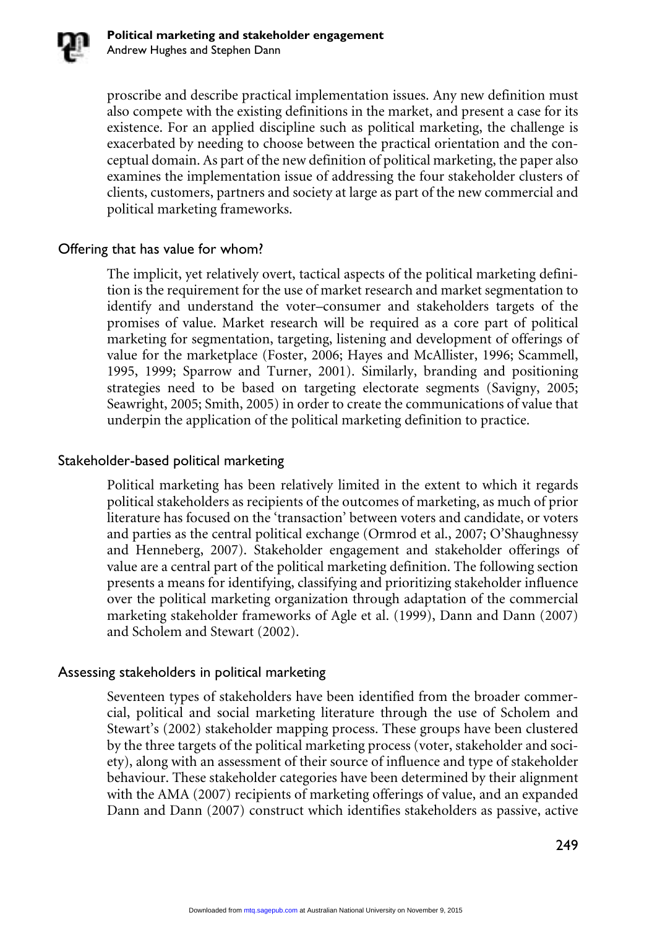

proscribe and describe practical implementation issues. Any new definition must also compete with the existing definitions in the market, and present a case for its existence. For an applied discipline such as political marketing, the challenge is exacerbated by needing to choose between the practical orientation and the conceptual domain. As part of the new definition of political marketing, the paper also examines the implementation issue of addressing the four stakeholder clusters of clients, customers, partners and society at large as part of the new commercial and political marketing frameworks.

#### Offering that has value for whom?

The implicit, yet relatively overt, tactical aspects of the political marketing definition is the requirement for the use of market research and market segmentation to identify and understand the voter–consumer and stakeholders targets of the promises of value. Market research will be required as a core part of political marketing for segmentation, targeting, listening and development of offerings of value for the marketplace (Foster, 2006; Hayes and McAllister, 1996; Scammell, 1995, 1999; Sparrow and Turner, 2001). Similarly, branding and positioning strategies need to be based on targeting electorate segments (Savigny, 2005; Seawright, 2005; Smith, 2005) in order to create the communications of value that underpin the application of the political marketing definition to practice.

#### Stakeholder-based political marketing

Political marketing has been relatively limited in the extent to which it regards political stakeholders as recipients of the outcomes of marketing, as much of prior literature has focused on the 'transaction' between voters and candidate, or voters and parties as the central political exchange (Ormrod et al., 2007; O'Shaughnessy and Henneberg, 2007). Stakeholder engagement and stakeholder offerings of value are a central part of the political marketing definition. The following section presents a means for identifying, classifying and prioritizing stakeholder influence over the political marketing organization through adaptation of the commercial marketing stakeholder frameworks of Agle et al. (1999), Dann and Dann (2007) and Scholem and Stewart (2002).

#### Assessing stakeholders in political marketing

Seventeen types of stakeholders have been identified from the broader commercial, political and social marketing literature through the use of Scholem and Stewart's (2002) stakeholder mapping process. These groups have been clustered by the three targets of the political marketing process (voter, stakeholder and society), along with an assessment of their source of influence and type of stakeholder behaviour. These stakeholder categories have been determined by their alignment with the AMA (2007) recipients of marketing offerings of value, and an expanded Dann and Dann (2007) construct which identifies stakeholders as passive, active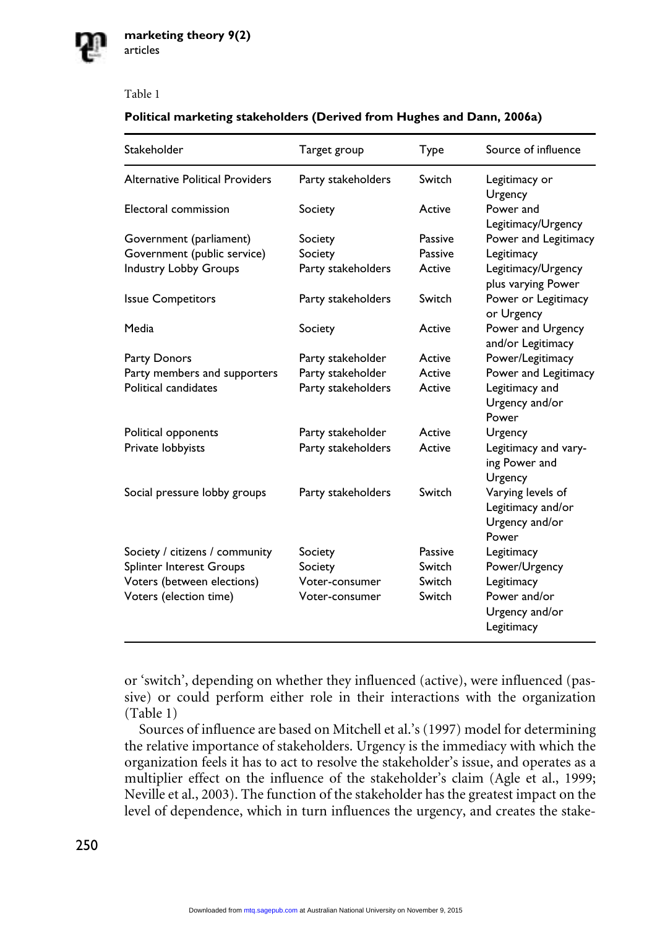

#### Table 1

#### **Political marketing stakeholders (Derived from Hughes and Dann, 2006a)**

| Stakeholder                            | Target group       | Type    | Source of influence                                               |
|----------------------------------------|--------------------|---------|-------------------------------------------------------------------|
| <b>Alternative Political Providers</b> | Party stakeholders | Switch  | Legitimacy or<br>Urgency                                          |
| Electoral commission                   | Society            | Active  | Power and<br>Legitimacy/Urgency                                   |
| Government (parliament)                | Society            | Passive | Power and Legitimacy                                              |
| Government (public service)            | Society            | Passive | Legitimacy                                                        |
| Industry Lobby Groups                  | Party stakeholders | Active  | Legitimacy/Urgency<br>plus varying Power                          |
| <b>Issue Competitors</b>               | Party stakeholders | Switch  | Power or Legitimacy<br>or Urgency                                 |
| Media                                  | Society            | Active  | Power and Urgency<br>and/or Legitimacy                            |
| Party Donors                           | Party stakeholder  | Active  | Power/Legitimacy                                                  |
| Party members and supporters           | Party stakeholder  | Active  | Power and Legitimacy                                              |
| Political candidates                   | Party stakeholders | Active  | Legitimacy and<br>Urgency and/or<br>Power                         |
| Political opponents                    | Party stakeholder  | Active  | Urgency                                                           |
| Private lobbyists                      | Party stakeholders | Active  | Legitimacy and vary-<br>ing Power and<br>Urgency                  |
| Social pressure lobby groups           | Party stakeholders | Switch  | Varying levels of<br>Legitimacy and/or<br>Urgency and/or<br>Power |
| Society / citizens / community         | Society            | Passive | Legitimacy                                                        |
| Splinter Interest Groups               | Society            | Switch  | Power/Urgency                                                     |
| Voters (between elections)             | Voter-consumer     | Switch  | Legitimacy                                                        |
| Voters (election time)                 | Voter-consumer     | Switch  | Power and/or<br>Urgency and/or<br>Legitimacy                      |

or 'switch', depending on whether they influenced (active), were influenced (passive) or could perform either role in their interactions with the organization (Table 1)

Sources of influence are based on Mitchell et al.'s (1997) model for determining the relative importance of stakeholders. Urgency is the immediacy with which the organization feels it has to act to resolve the stakeholder's issue, and operates as a multiplier effect on the influence of the stakeholder's claim (Agle et al., 1999; Neville et al., 2003). The function of the stakeholder has the greatest impact on the level of dependence, which in turn influences the urgency, and creates the stake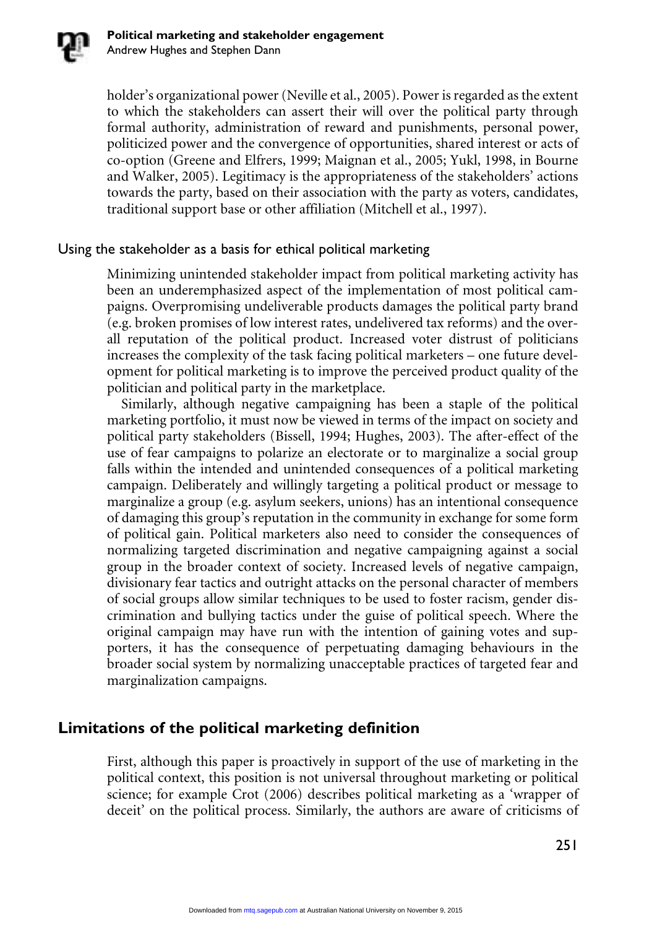holder's organizational power (Neville et al., 2005). Power is regarded as the extent to which the stakeholders can assert their will over the political party through formal authority, administration of reward and punishments, personal power, politicized power and the convergence of opportunities, shared interest or acts of co-option (Greene and Elfrers, 1999; Maignan et al., 2005; Yukl, 1998, in Bourne and Walker, 2005). Legitimacy is the appropriateness of the stakeholders' actions towards the party, based on their association with the party as voters, candidates, traditional support base or other affiliation (Mitchell et al., 1997).

#### Using the stakeholder as a basis for ethical political marketing

Minimizing unintended stakeholder impact from political marketing activity has been an underemphasized aspect of the implementation of most political campaigns. Overpromising undeliverable products damages the political party brand (e.g. broken promises of low interest rates, undelivered tax reforms) and the overall reputation of the political product. Increased voter distrust of politicians increases the complexity of the task facing political marketers – one future development for political marketing is to improve the perceived product quality of the politician and political party in the marketplace.

Similarly, although negative campaigning has been a staple of the political marketing portfolio, it must now be viewed in terms of the impact on society and political party stakeholders (Bissell, 1994; Hughes, 2003). The after-effect of the use of fear campaigns to polarize an electorate or to marginalize a social group falls within the intended and unintended consequences of a political marketing campaign. Deliberately and willingly targeting a political product or message to marginalize a group (e.g. asylum seekers, unions) has an intentional consequence of damaging this group's reputation in the community in exchange for some form of political gain. Political marketers also need to consider the consequences of normalizing targeted discrimination and negative campaigning against a social group in the broader context of society. Increased levels of negative campaign, divisionary fear tactics and outright attacks on the personal character of members of social groups allow similar techniques to be used to foster racism, gender discrimination and bullying tactics under the guise of political speech. Where the original campaign may have run with the intention of gaining votes and supporters, it has the consequence of perpetuating damaging behaviours in the broader social system by normalizing unacceptable practices of targeted fear and marginalization campaigns.

# **Limitations of the political marketing definition**

First, although this paper is proactively in support of the use of marketing in the political context, this position is not universal throughout marketing or political science; for example Crot (2006) describes political marketing as a 'wrapper of deceit' on the political process. Similarly, the authors are aware of criticisms of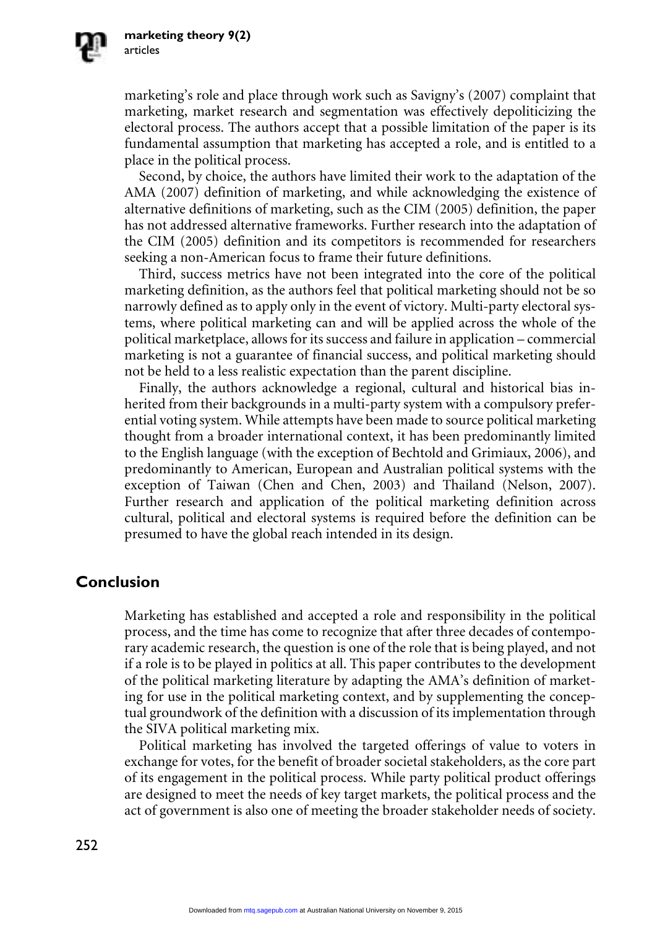

marketing's role and place through work such as Savigny's (2007) complaint that marketing, market research and segmentation was effectively depoliticizing the electoral process. The authors accept that a possible limitation of the paper is its fundamental assumption that marketing has accepted a role, and is entitled to a place in the political process.

Second, by choice, the authors have limited their work to the adaptation of the AMA (2007) definition of marketing, and while acknowledging the existence of alternative definitions of marketing, such as the CIM (2005) definition, the paper has not addressed alternative frameworks. Further research into the adaptation of the CIM (2005) definition and its competitors is recommended for researchers seeking a non-American focus to frame their future definitions.

Third, success metrics have not been integrated into the core of the political marketing definition, as the authors feel that political marketing should not be so narrowly defined as to apply only in the event of victory. Multi-party electoral systems, where political marketing can and will be applied across the whole of the political marketplace, allows for its success and failure in application – commercial marketing is not a guarantee of financial success, and political marketing should not be held to a less realistic expectation than the parent discipline.

Finally, the authors acknowledge a regional, cultural and historical bias inherited from their backgrounds in a multi-party system with a compulsory preferential voting system. While attempts have been made to source political marketing thought from a broader international context, it has been predominantly limited to the English language (with the exception of Bechtold and Grimiaux, 2006), and predominantly to American, European and Australian political systems with the exception of Taiwan (Chen and Chen, 2003) and Thailand (Nelson, 2007). Further research and application of the political marketing definition across cultural, political and electoral systems is required before the definition can be presumed to have the global reach intended in its design.

#### **Conclusion**

Marketing has established and accepted a role and responsibility in the political process, and the time has come to recognize that after three decades of contemporary academic research, the question is one of the role that is being played, and not if a role is to be played in politics at all. This paper contributes to the development of the political marketing literature by adapting the AMA's definition of marketing for use in the political marketing context, and by supplementing the conceptual groundwork of the definition with a discussion of its implementation through the SIVA political marketing mix.

Political marketing has involved the targeted offerings of value to voters in exchange for votes, for the benefit of broader societal stakeholders, as the core part of its engagement in the political process. While party political product offerings are designed to meet the needs of key target markets, the political process and the act of government is also one of meeting the broader stakeholder needs of society.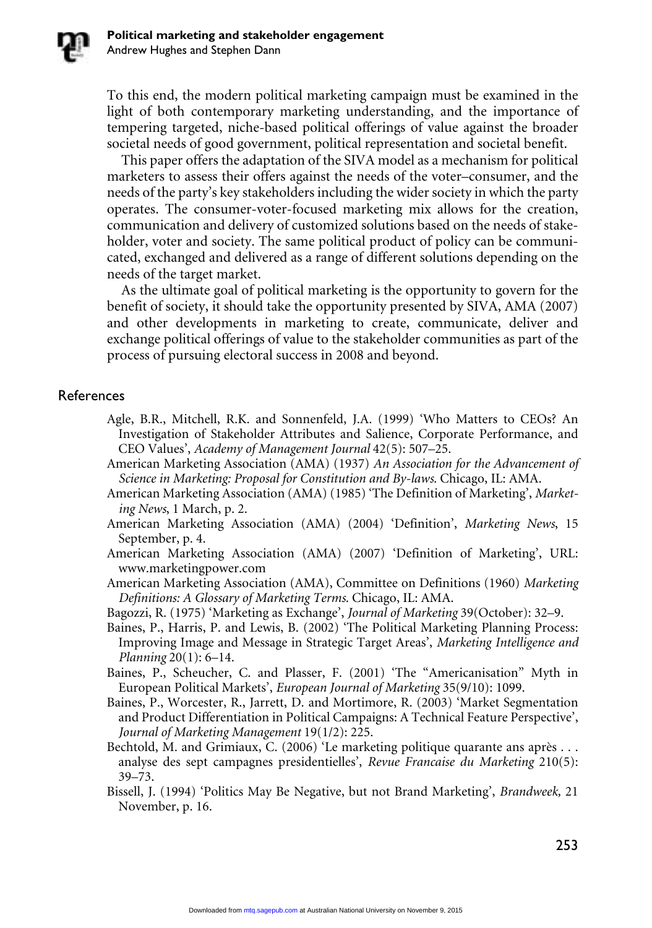

To this end, the modern political marketing campaign must be examined in the light of both contemporary marketing understanding, and the importance of tempering targeted, niche-based political offerings of value against the broader societal needs of good government, political representation and societal benefit.

This paper offers the adaptation of the SIVA model as a mechanism for political marketers to assess their offers against the needs of the voter–consumer, and the needs of the party's key stakeholders including the wider society in which the party operates. The consumer-voter-focused marketing mix allows for the creation, communication and delivery of customized solutions based on the needs of stakeholder, voter and society. The same political product of policy can be communicated, exchanged and delivered as a range of different solutions depending on the needs of the target market.

As the ultimate goal of political marketing is the opportunity to govern for the benefit of society, it should take the opportunity presented by SIVA, AMA (2007) and other developments in marketing to create, communicate, deliver and exchange political offerings of value to the stakeholder communities as part of the process of pursuing electoral success in 2008 and beyond.

#### References

- Agle, B.R., Mitchell, R.K. and Sonnenfeld, J.A. (1999) 'Who Matters to CEOs? An Investigation of Stakeholder Attributes and Salience, Corporate Performance, and CEO Values', *Academy of Management Journal* 42(5): 507–25.
- American Marketing Association (AMA) (1937) *An Association for the Advancement of Science in Marketing: Proposal for Constitution and By-laws*. Chicago, IL: AMA.
- American Marketing Association (AMA) (1985) 'The Definition of Marketing', *Marketing News*, 1 March, p. 2.
- American Marketing Association (AMA) (2004) 'Definition', *Marketing News*, 15 September, p. 4.
- American Marketing Association (AMA) (2007) 'Definition of Marketing', URL: www.marketingpower.com
- American Marketing Association (AMA), Committee on Definitions (1960) *Marketing Definitions: A Glossary of Marketing Terms*. Chicago, IL: AMA.
- Bagozzi, R. (1975) 'Marketing as Exchange', *Journal of Marketing* 39(October): 32–9.
- Baines, P., Harris, P. and Lewis, B. (2002) 'The Political Marketing Planning Process: Improving Image and Message in Strategic Target Areas', *Marketing Intelligence and Planning* 20(1): 6–14.
- Baines, P., Scheucher, C. and Plasser, F. (2001) 'The "Americanisation" Myth in European Political Markets', *European Journal of Marketing* 35(9/10): 1099.
- Baines, P., Worcester, R., Jarrett, D. and Mortimore, R. (2003) 'Market Segmentation and Product Differentiation in Political Campaigns: A Technical Feature Perspective', *Journal of Marketing Management* 19(1/2): 225.
- Bechtold, M. and Grimiaux, C. (2006) 'Le marketing politique quarante ans après . . . analyse des sept campagnes presidentielles', *Revue Francaise du Marketing* 210(5): 39–73.
- Bissell, J. (1994) 'Politics May Be Negative, but not Brand Marketing', *Brandweek,* 21 November, p. 16.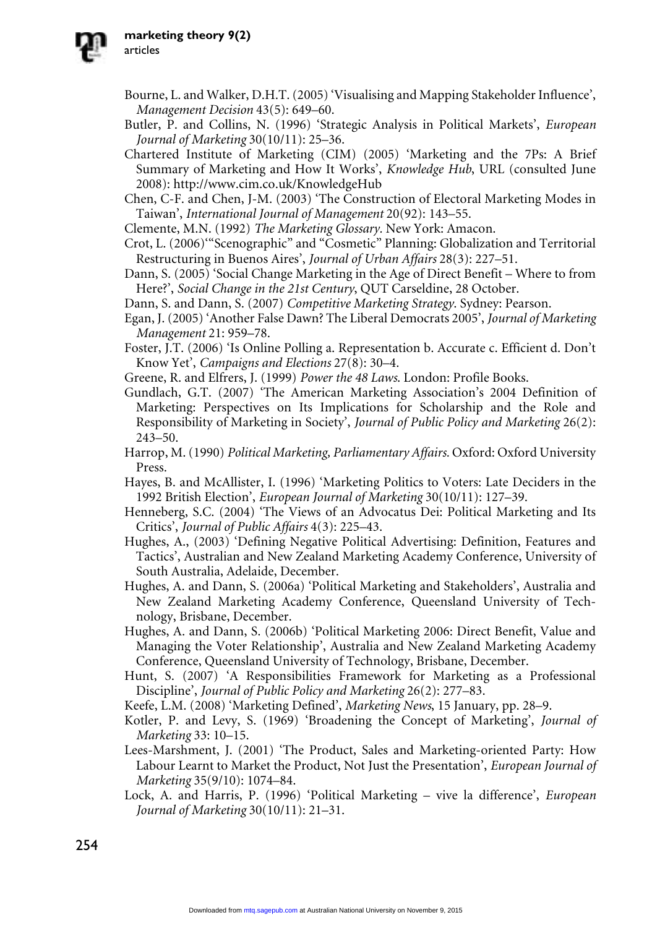

- Bourne, L. and Walker, D.H.T. (2005) 'Visualising and Mapping Stakeholder Influence', *Management Decision* 43(5): 649–60.
- Butler, P. and Collins, N. (1996) 'Strategic Analysis in Political Markets', *European Journal of Marketing* 30(10/11): 25–36.
- Chartered Institute of Marketing (CIM) (2005) 'Marketing and the 7Ps: A Brief Summary of Marketing and How It Works', *Knowledge Hub*, URL (consulted June 2008): http://www.cim.co.uk/KnowledgeHub
- Chen, C-F. and Chen, J-M. (2003) 'The Construction of Electoral Marketing Modes in Taiwan', *International Journal of Management* 20(92): 143–55.
- Clemente, M.N. (1992) *The Marketing Glossary.* New York: Amacon.
- Crot, L. (2006)'"Scenographic" and "Cosmetic" Planning: Globalization and Territorial Restructuring in Buenos Aires', *Journal of Urban Affairs* 28(3): 227–51.
- Dann, S. (2005) 'Social Change Marketing in the Age of Direct Benefit Where to from Here?', *Social Change in the 21st Century*, QUT Carseldine, 28 October.
- Dann, S. and Dann, S. (2007) *Competitive Marketing Strategy*. Sydney: Pearson.
- Egan, J. (2005) 'Another False Dawn? The Liberal Democrats 2005', *Journal of Marketing Management* 21: 959–78.
- Foster, J.T. (2006) 'Is Online Polling a. Representation b. Accurate c. Efficient d. Don't Know Yet', *Campaigns and Elections* 27(8): 30–4.
- Greene, R. and Elfrers, J. (1999) *Power the 48 Laws*. London: Profile Books.
- Gundlach, G.T. (2007) 'The American Marketing Association's 2004 Definition of Marketing: Perspectives on Its Implications for Scholarship and the Role and Responsibility of Marketing in Society', *Journal of Public Policy and Marketing* 26(2): 243–50.
- Harrop, M. (1990) *Political Marketing, Parliamentary Affairs.* Oxford: Oxford University Press.
- Hayes, B. and McAllister, I. (1996) 'Marketing Politics to Voters: Late Deciders in the 1992 British Election', *European Journal of Marketing* 30(10/11): 127–39.
- Henneberg, S.C. (2004) 'The Views of an Advocatus Dei: Political Marketing and Its Critics', *Journal of Public Affairs* 4(3): 225–43.
- Hughes, A., (2003) 'Defining Negative Political Advertising: Definition, Features and Tactics', Australian and New Zealand Marketing Academy Conference, University of South Australia, Adelaide, December.
- Hughes, A. and Dann, S. (2006a) 'Political Marketing and Stakeholders', Australia and New Zealand Marketing Academy Conference, Queensland University of Technology, Brisbane, December.
- Hughes, A. and Dann, S. (2006b) 'Political Marketing 2006: Direct Benefit, Value and Managing the Voter Relationship', Australia and New Zealand Marketing Academy Conference, Queensland University of Technology, Brisbane, December.
- Hunt, S. (2007) 'A Responsibilities Framework for Marketing as a Professional Discipline', *Journal of Public Policy and Marketing* 26(2): 277–83.
- Keefe, L.M. (2008) 'Marketing Defined', *Marketing News*, 15 January, pp. 28–9.
- Kotler, P. and Levy, S. (1969) 'Broadening the Concept of Marketing', *Journal of Marketing* 33: 10–15.
- Lees-Marshment, J. (2001) 'The Product, Sales and Marketing-oriented Party: How Labour Learnt to Market the Product, Not Just the Presentation', *European Journal of Marketing* 35(9/10): 1074–84.
- Lock, A. and Harris, P. (1996) 'Political Marketing vive la difference', *European Journal of Marketing* 30(10/11): 21–31.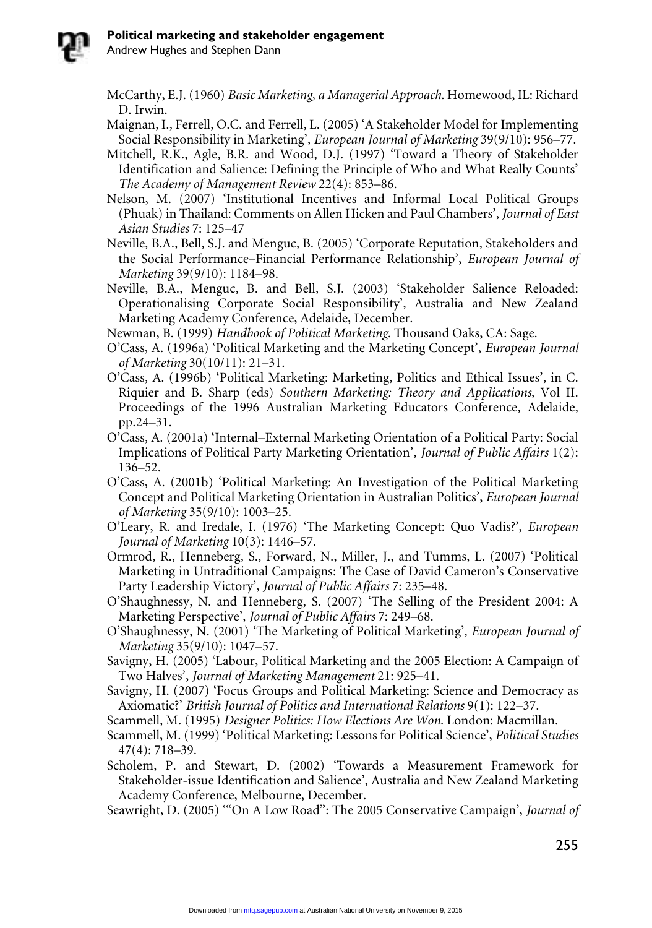

McCarthy, E.J. (1960) *Basic Marketing, a Managerial Approach*. Homewood, IL: Richard D. Irwin.

Maignan, I., Ferrell, O.C. and Ferrell, L. (2005) 'A Stakeholder Model for Implementing Social Responsibility in Marketing', *European Journal of Marketing* 39(9/10): 956–77.

- Mitchell, R.K., Agle, B.R. and Wood, D.J. (1997) 'Toward a Theory of Stakeholder Identification and Salience: Defining the Principle of Who and What Really Counts' *The Academy of Management Review* 22(4): 853–86.
- Nelson, M. (2007) 'Institutional Incentives and Informal Local Political Groups (Phuak) in Thailand: Comments on Allen Hicken and Paul Chambers', *Journal of East Asian Studies* 7: 125–47
- Neville, B.A., Bell, S.J. and Menguc, B. (2005) 'Corporate Reputation, Stakeholders and the Social Performance–Financial Performance Relationship', *European Journal of Marketing* 39(9/10): 1184–98.
- Neville, B.A., Menguc, B. and Bell, S.J. (2003) 'Stakeholder Salience Reloaded: Operationalising Corporate Social Responsibility', Australia and New Zealand Marketing Academy Conference, Adelaide, December.

Newman, B. (1999) *Handbook of Political Marketing*. Thousand Oaks, CA: Sage.

- O'Cass, A. (1996a) 'Political Marketing and the Marketing Concept', *European Journal of Marketing* 30(10/11): 21–31.
- O'Cass, A. (1996b) 'Political Marketing: Marketing, Politics and Ethical Issues', in C. Riquier and B. Sharp (eds) *Southern Marketing: Theory and Applications*, Vol II. Proceedings of the 1996 Australian Marketing Educators Conference, Adelaide, pp.24–31.
- O'Cass, A. (2001a) 'Internal–External Marketing Orientation of a Political Party: Social Implications of Political Party Marketing Orientation', *Journal of Public Affairs* 1(2): 136–52.
- O'Cass, A. (2001b) 'Political Marketing: An Investigation of the Political Marketing Concept and Political Marketing Orientation in Australian Politics', *European Journal of Marketing* 35(9/10): 1003–25.
- O'Leary, R. and Iredale, I. (1976) 'The Marketing Concept: Quo Vadis?', *European Journal of Marketing* 10(3): 1446–57.
- Ormrod, R., Henneberg, S., Forward, N., Miller, J., and Tumms, L. (2007) 'Political Marketing in Untraditional Campaigns: The Case of David Cameron's Conservative Party Leadership Victory', *Journal of Public Affairs* 7: 235–48.
- O'Shaughnessy, N. and Henneberg, S. (2007) 'The Selling of the President 2004: A Marketing Perspective', *Journal of Public Affairs* 7: 249–68.
- O'Shaughnessy, N. (2001) 'The Marketing of Political Marketing', *European Journal of Marketing* 35(9/10): 1047–57.
- Savigny, H. (2005) 'Labour, Political Marketing and the 2005 Election: A Campaign of Two Halves', *Journal of Marketing Management* 21: 925–41.
- Savigny, H. (2007) 'Focus Groups and Political Marketing: Science and Democracy as Axiomatic?' *British Journal of Politics and International Relations* 9(1): 122–37.
- Scammell, M. (1995) *Designer Politics: How Elections Are Won*. London: Macmillan.
- Scammell, M. (1999) 'Political Marketing: Lessons for Political Science', *Political Studies* 47(4): 718–39.
- Scholem, P. and Stewart, D. (2002) 'Towards a Measurement Framework for Stakeholder-issue Identification and Salience', Australia and New Zealand Marketing Academy Conference, Melbourne, December.

Seawright, D. (2005) '"On A Low Road": The 2005 Conservative Campaign', *Journal of*